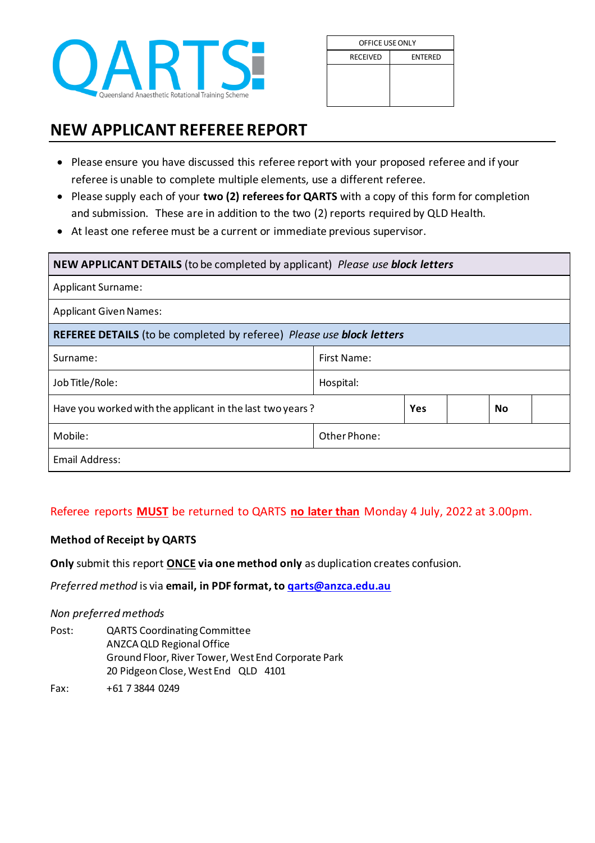

| OFFICE USE ONLY |                |  |  |  |  |
|-----------------|----------------|--|--|--|--|
| <b>RECEIVED</b> | <b>ENTERED</b> |  |  |  |  |
|                 |                |  |  |  |  |
|                 |                |  |  |  |  |
|                 |                |  |  |  |  |

## **NEW APPLICANT REFEREE REPORT**

- Please ensure you have discussed this referee report with your proposed referee and if your referee is unable to complete multiple elements, use a different referee.
- Please supply each of your **two (2) referees for QARTS** with a copy of this form for completion and submission. These are in addition to the two (2) reports required by QLD Health.
- At least one referee must be a current or immediate previous supervisor.

| NEW APPLICANT DETAILS (to be completed by applicant) Please use block letters       |              |     |  |           |  |
|-------------------------------------------------------------------------------------|--------------|-----|--|-----------|--|
| <b>Applicant Surname:</b>                                                           |              |     |  |           |  |
| <b>Applicant Given Names:</b>                                                       |              |     |  |           |  |
| <b>REFEREE DETAILS</b> (to be completed by referee) Please use <b>block letters</b> |              |     |  |           |  |
| Surname:                                                                            | First Name:  |     |  |           |  |
| Job Title/Role:                                                                     | Hospital:    |     |  |           |  |
| Have you worked with the applicant in the last two years?                           |              | Yes |  | <b>No</b> |  |
| Mobile:                                                                             | Other Phone: |     |  |           |  |
| Email Address:                                                                      |              |     |  |           |  |

## Referee reports **MUST** be returned to QARTS **no later than** Monday 4 July, 2022 at 3.00pm.

## **Method of Receipt by QARTS**

**Only** submit this report **ONCE via one method only** as duplication creates confusion.

*Preferred method* is via **email, in PDF format, t[o qarts@anzca.edu.au](mailto:qarts@anzca.edu.au)**

## *Non preferred methods*

Post: QARTS Coordinating Committee ANZCA QLD Regional Office Ground Floor, River Tower, West End Corporate Park 20 Pidgeon Close, West End QLD 4101

Fax: +61 7 3844 0249